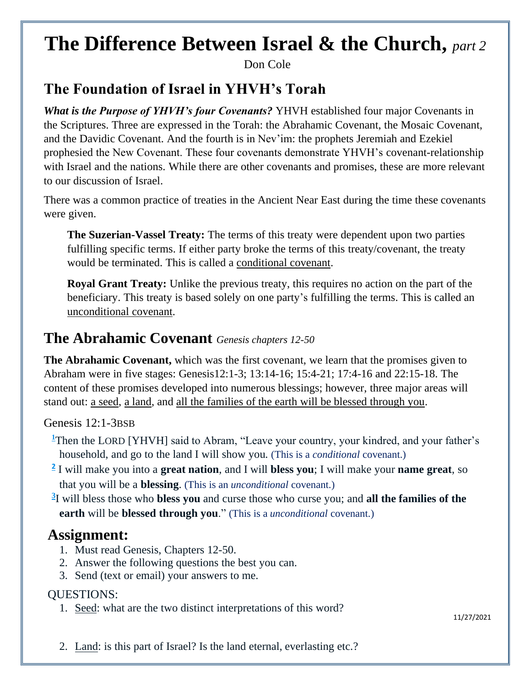# **The Difference Between Israel & the Church,** *part 2*

Don Cole

## **The Foundation of Israel in YHVH's Torah**

*What is the Purpose of YHVH's four Covenants?* YHVH established four major Covenants in the Scriptures. Three are expressed in the Torah: the Abrahamic Covenant, the Mosaic Covenant, and the Davidic Covenant. And the fourth is in Nev'im: the prophets Jeremiah and Ezekiel prophesied the New Covenant. These four covenants demonstrate YHVH's covenant-relationship with Israel and the nations. While there are other covenants and promises, these are more relevant to our discussion of Israel.

There was a common practice of treaties in the Ancient Near East during the time these covenants were given.

**The Suzerian-Vassel Treaty:** The terms of this treaty were dependent upon two parties fulfilling specific terms. If either party broke the terms of this treaty/covenant, the treaty would be terminated. This is called a conditional covenant.

**Royal Grant Treaty:** Unlike the previous treaty, this requires no action on the part of the beneficiary. This treaty is based solely on one party's fulfilling the terms. This is called an unconditional covenant.

#### **The Abrahamic Covenant** *Genesis chapters 12-50*

**The Abrahamic Covenant,** which was the first covenant, we learn that the promises given to Abraham were in five stages: Genesis12:1-3; 13:14-16; 15:4-21; 17:4-16 and 22:15-18. The content of these promises developed into numerous blessings; however, three major areas will stand out: a seed, a land, and all the families of the earth will be blessed through you.

Genesis 12:1-3BSB

- **[1](https://biblehub.com/genesis/12-1.htm)**Then the LORD [YHVH] said to Abram, "Leave your country, your kindred, and your father's household, and go to the land I will show you. (This is a *conditional* covenant.)
- **[2](https://biblehub.com/genesis/12-2.htm)** I will make you into a **great nation**, and I will **bless you**; I will make your **name great**, so that you will be a **blessing**. (This is an *unconditional* covenant.)
- **[3](https://biblehub.com/genesis/12-3.htm)** I will bless those who **bless you** and curse those who curse you; and **all the families of the earth** will be **blessed through you**." (This is a *unconditional* covenant.)

### **Assignment:**

- 1. Must read Genesis, Chapters 12-50.
- 2. Answer the following questions the best you can.
- 3. Send (text or email) your answers to me.

#### QUESTIONS:

1. Seed: what are the two distinct interpretations of this word?

11/27/2021

2. Land: is this part of Israel? Is the land eternal, everlasting etc.?